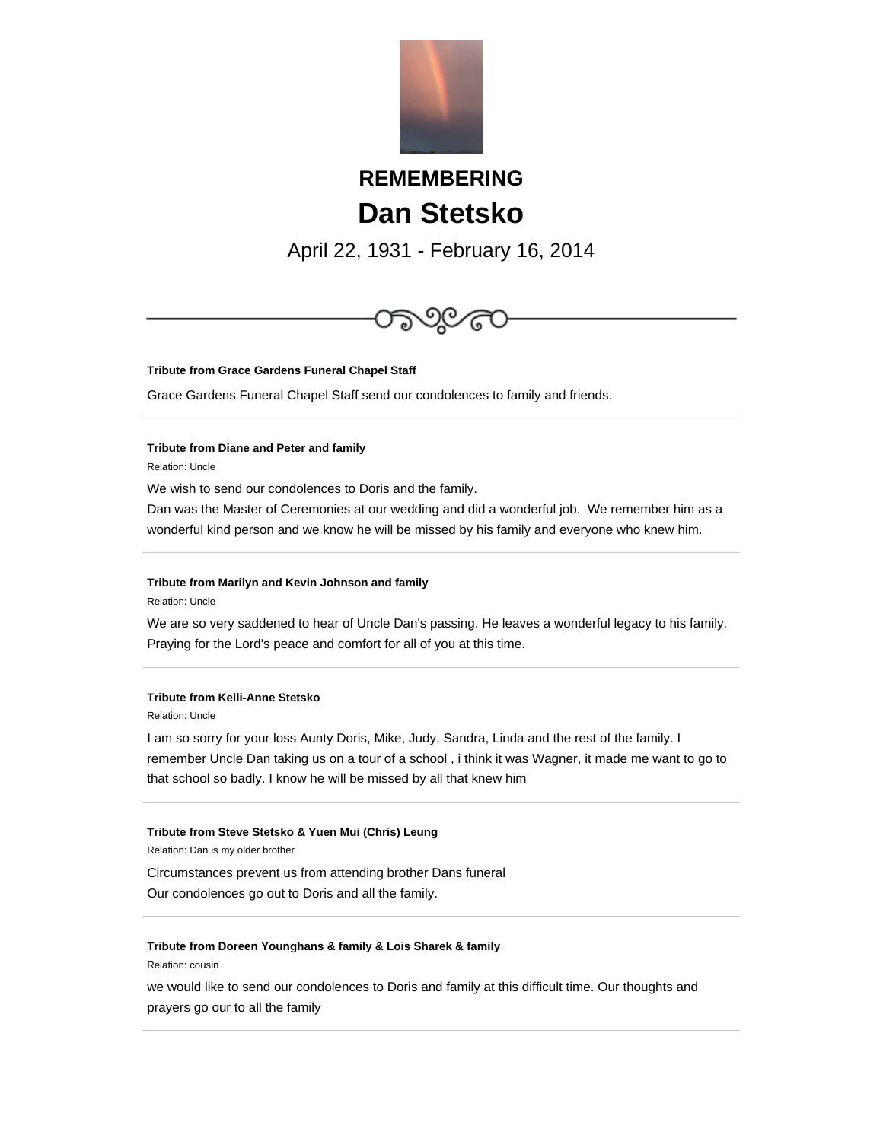

# **REMEMBERING Dan Stetsko**

April 22, 1931 - February 16, 2014



**Tribute from Grace Gardens Funeral Chapel Staff**

Grace Gardens Funeral Chapel Staff send our condolences to family and friends.

## **Tribute from Diane and Peter and family**

Relation: Uncle

We wish to send our condolences to Doris and the family.

Dan was the Master of Ceremonies at our wedding and did a wonderful job. We remember him as a wonderful kind person and we know he will be missed by his family and everyone who knew him.

## **Tribute from Marilyn and Kevin Johnson and family**

Relation: Uncle

We are so very saddened to hear of Uncle Dan's passing. He leaves a wonderful legacy to his family. Praying for the Lord's peace and comfort for all of you at this time.

# **Tribute from Kelli-Anne Stetsko**

Relation: Uncle

I am so sorry for your loss Aunty Doris, Mike, Judy, Sandra, Linda and the rest of the family. I remember Uncle Dan taking us on a tour of a school , i think it was Wagner, it made me want to go to that school so badly. I know he will be missed by all that knew him

# **Tribute from Steve Stetsko & Yuen Mui (Chris) Leung**

Relation: Dan is my older brother

Circumstances prevent us from attending brother Dans funeral Our condolences go out to Doris and all the family.

# **Tribute from Doreen Younghans & family & Lois Sharek & family**

Relation: cousin

we would like to send our condolences to Doris and family at this difficult time. Our thoughts and prayers go our to all the family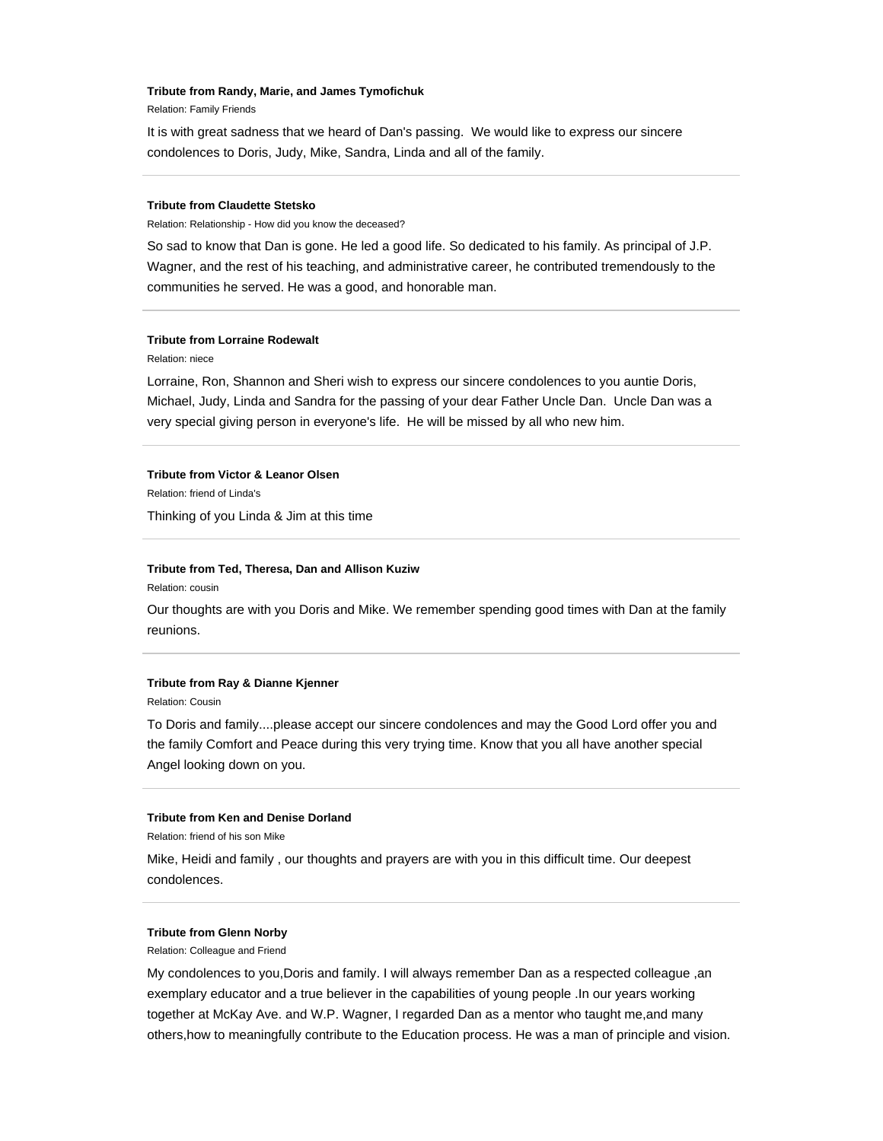#### **Tribute from Randy, Marie, and James Tymofichuk**

Relation: Family Friends

It is with great sadness that we heard of Dan's passing. We would like to express our sincere condolences to Doris, Judy, Mike, Sandra, Linda and all of the family.

#### **Tribute from Claudette Stetsko**

Relation: Relationship - How did you know the deceased?

So sad to know that Dan is gone. He led a good life. So dedicated to his family. As principal of J.P. Wagner, and the rest of his teaching, and administrative career, he contributed tremendously to the communities he served. He was a good, and honorable man.

#### **Tribute from Lorraine Rodewalt**

Relation: niece

Lorraine, Ron, Shannon and Sheri wish to express our sincere condolences to you auntie Doris, Michael, Judy, Linda and Sandra for the passing of your dear Father Uncle Dan. Uncle Dan was a very special giving person in everyone's life. He will be missed by all who new him.

#### **Tribute from Victor & Leanor Olsen**

Relation: friend of Linda's Thinking of you Linda & Jim at this time

# **Tribute from Ted, Theresa, Dan and Allison Kuziw**

Relation: cousin

Our thoughts are with you Doris and Mike. We remember spending good times with Dan at the family reunions.

#### **Tribute from Ray & Dianne Kjenner**

Relation: Cousin

To Doris and family....please accept our sincere condolences and may the Good Lord offer you and the family Comfort and Peace during this very trying time. Know that you all have another special Angel looking down on you.

#### **Tribute from Ken and Denise Dorland**

Relation: friend of his son Mike

Mike, Heidi and family , our thoughts and prayers are with you in this difficult time. Our deepest condolences.

#### **Tribute from Glenn Norby**

Relation: Colleague and Friend

My condolences to you,Doris and family. I will always remember Dan as a respected colleague ,an exemplary educator and a true believer in the capabilities of young people .In our years working together at McKay Ave. and W.P. Wagner, I regarded Dan as a mentor who taught me,and many others,how to meaningfully contribute to the Education process. He was a man of principle and vision.